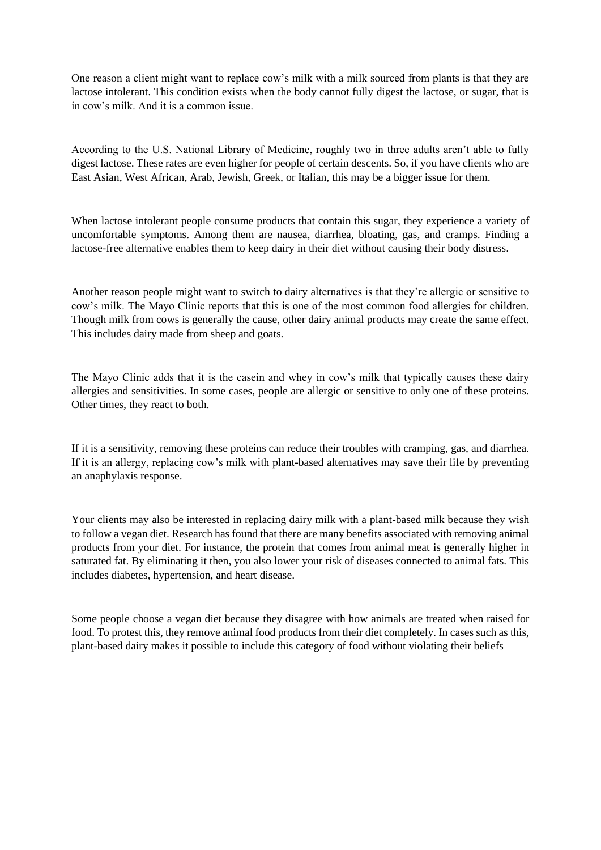One reason a client might want to replace cow's milk with a milk sourced from plants is that they are lactose intolerant. This condition exists when the body cannot fully digest the lactose, or sugar, that is in cow's milk. And it is a common issue.

According to the U.S. National Library of Medicine, roughly two in three adults aren't able to fully digest lactose. These rates are even higher for people of certain descents. So, if you have clients who are East Asian, West African, Arab, Jewish, Greek, or Italian, this may be a bigger issue for them.

When lactose intolerant people consume products that contain this sugar, they experience a variety of uncomfortable symptoms. Among them are nausea, diarrhea, bloating, gas, and cramps. Finding a lactose-free alternative enables them to keep dairy in their diet without causing their body distress.

Another reason people might want to switch to dairy alternatives is that they're allergic or sensitive to cow's milk. The Mayo Clinic reports that this is one of the most common food allergies for children. Though milk from cows is generally the cause, other dairy animal products may create the same effect. This includes dairy made from sheep and goats.

The Mayo Clinic adds that it is the casein and whey in cow's milk that typically causes these dairy allergies and sensitivities. In some cases, people are allergic or sensitive to only one of these proteins. Other times, they react to both.

If it is a sensitivity, removing these proteins can reduce their troubles with cramping, gas, and diarrhea. If it is an allergy, replacing cow's milk with plant-based alternatives may save their life by preventing an anaphylaxis response.

Your clients may also be interested in replacing dairy milk with a plant-based milk because they wish to follow a vegan diet. Research has found that there are many benefits associated with removing animal products from your diet. For instance, the protein that comes from animal meat is generally higher in saturated fat. By eliminating it then, you also lower your risk of diseases connected to animal fats. This includes diabetes, hypertension, and heart disease.

Some people choose a vegan diet because they disagree with how animals are treated when raised for food. To protest this, they remove animal food products from their diet completely. In cases such as this, plant-based dairy makes it possible to include this category of food without violating their beliefs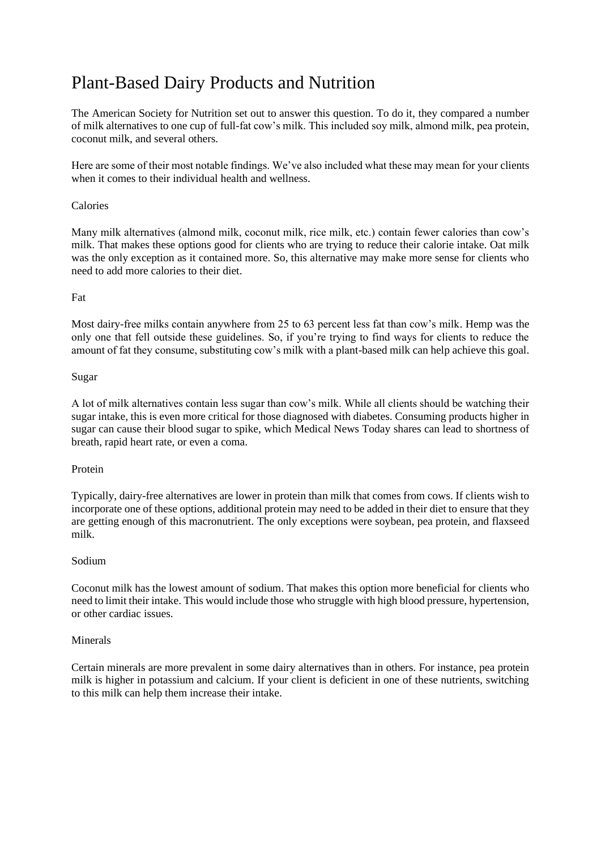## Plant-Based Dairy Products and Nutrition

The [American Society for Nutrition](https://nutrition.org/going-nuts-about-milk-heres-what-you-need-to-know-about-plant-based-milk-alternatives/) set out to answer this question. To do it, they compared a number of milk alternatives to one cup of full-fat cow's milk. This included soy milk, almond milk, pea protein, coconut milk, and several others.

Here are some of their most notable findings. We've also included what these may mean for your clients when it comes to their individual health and wellness.

## Calories

Many milk alternatives (almond milk, coconut milk, rice milk, etc.) contain fewer calories than cow's milk. That makes these options good for clients who are trying to reduce their calorie intake. Oat milk was the only exception as it contained more. So, this alternative may make more sense for clients who need to add more calories to their diet.

## Fat

Most dairy-free milks contain anywhere from 25 to 63 percent less fat than cow's milk. Hemp was the only one that fell outside these guidelines. So, if you're trying to find ways for clients to reduce the amount of fat they consume, substituting cow's milk with a plant-based milk can help achieve this goal.

## Sugar

A lot of milk alternatives contain less sugar than cow's milk. While all clients should be watching their sugar intake, this is even more critical for those diagnosed with diabetes. Consuming products higher in sugar can cause their blood sugar to spike, which [Medical News Today](https://www.medicalnewstoday.com/articles/313138#symptoms) shares can lead to shortness of breath, rapid heart rate, or even a coma.

#### Protein

Typically, dairy-free alternatives are lower in protein than milk that comes from cows. If clients wish to incorporate one of these options, additional protein may need to be added in their diet to ensure that they are getting enough of this macronutrient. The only exceptions were soybean, pea protein, and flaxseed milk.

#### Sodium

Coconut milk has the lowest amount of sodium. That makes this option more beneficial for clients who need to limit their intake. This would include those who struggle with high blood pressure, hypertension, or other cardiac issues.

#### Minerals

Certain minerals are more prevalent in some dairy alternatives than in others. For instance, pea protein milk is higher in potassium and calcium. If your client is deficient in one of these nutrients, switching to this milk can help them increase their intake.